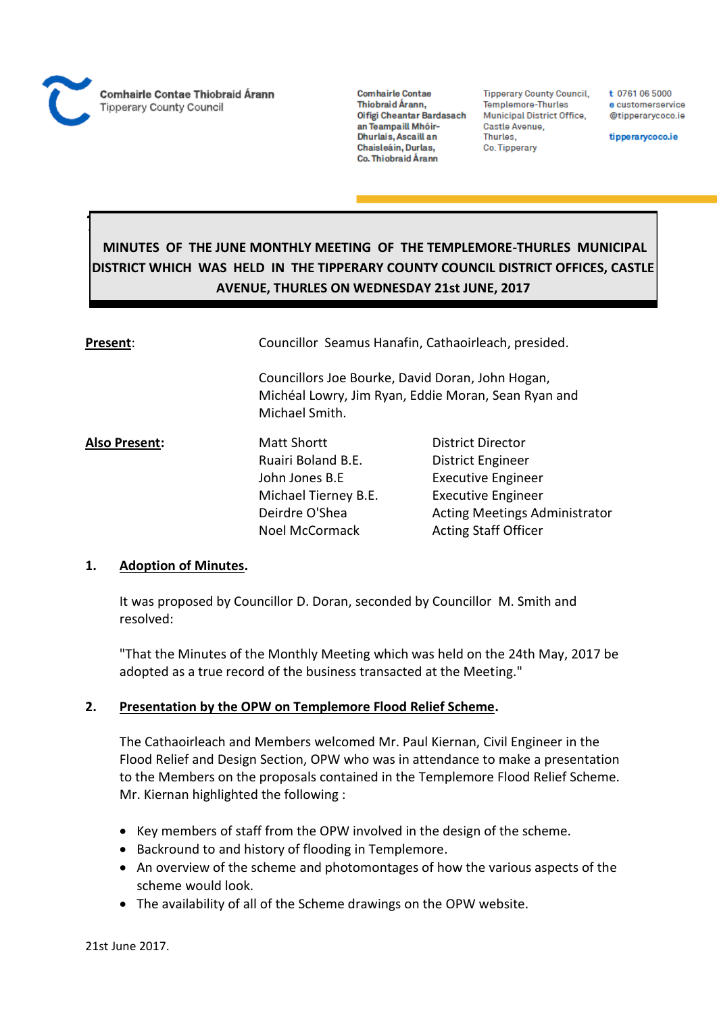

*Thurles*

**Comhairle Contae** Thiobraid Árann, Oifigi Cheantar Bardasach an Teampaill Mhóir-Dhurlais, Ascaill an Chaisleáin, Durlas, Co. Thiobraid Árann

**Tipperary County Council,** Templemore-Thurles Municipal District Office, Castle Avenue, Thurles. Co. Tipperary

t 0761 06 5000 e customerservice @tipperarycoco.ie

tipperarycoco.ie

# **MINUTES OF THE JUNE MONTHLY MEETING OF THE TEMPLEMORE-THURLES MUNICIPAL DISTRICT WHICH WAS HELD IN THE TIPPERARY COUNTY COUNCIL DISTRICT OFFICES, CASTLE AVENUE, THURLES ON WEDNESDAY 21st JUNE, 2017**

| Pr <u>esent</u> : | Councillor Seamus Hanafin, Cathaoirleach, presided.                                                                       |                                      |  |
|-------------------|---------------------------------------------------------------------------------------------------------------------------|--------------------------------------|--|
|                   | Councillors Joe Bourke, David Doran, John Hogan,<br>Michéal Lowry, Jim Ryan, Eddie Moran, Sean Ryan and<br>Michael Smith. |                                      |  |
| Also Present:     | <b>Matt Shortt</b>                                                                                                        | District Director                    |  |
|                   | Ruairi Boland B.E.                                                                                                        | District Engineer                    |  |
|                   | John Jones B.E                                                                                                            | <b>Executive Engineer</b>            |  |
|                   | Michael Tierney B.E.                                                                                                      | <b>Executive Engineer</b>            |  |
|                   | Deirdre O'Shea                                                                                                            | <b>Acting Meetings Administrator</b> |  |
|                   | <b>Noel McCormack</b>                                                                                                     | <b>Acting Staff Officer</b>          |  |

### **1. Adoption of Minutes.**

It was proposed by Councillor D. Doran, seconded by Councillor M. Smith and resolved:

"That the Minutes of the Monthly Meeting which was held on the 24th May, 2017 be adopted as a true record of the business transacted at the Meeting."

### **2. Presentation by the OPW on Templemore Flood Relief Scheme.**

The Cathaoirleach and Members welcomed Mr. Paul Kiernan, Civil Engineer in the Flood Relief and Design Section, OPW who was in attendance to make a presentation to the Members on the proposals contained in the Templemore Flood Relief Scheme. Mr. Kiernan highlighted the following :

- Key members of staff from the OPW involved in the design of the scheme.
- Backround to and history of flooding in Templemore.
- An overview of the scheme and photomontages of how the various aspects of the scheme would look.
- The availability of all of the Scheme drawings on the OPW website.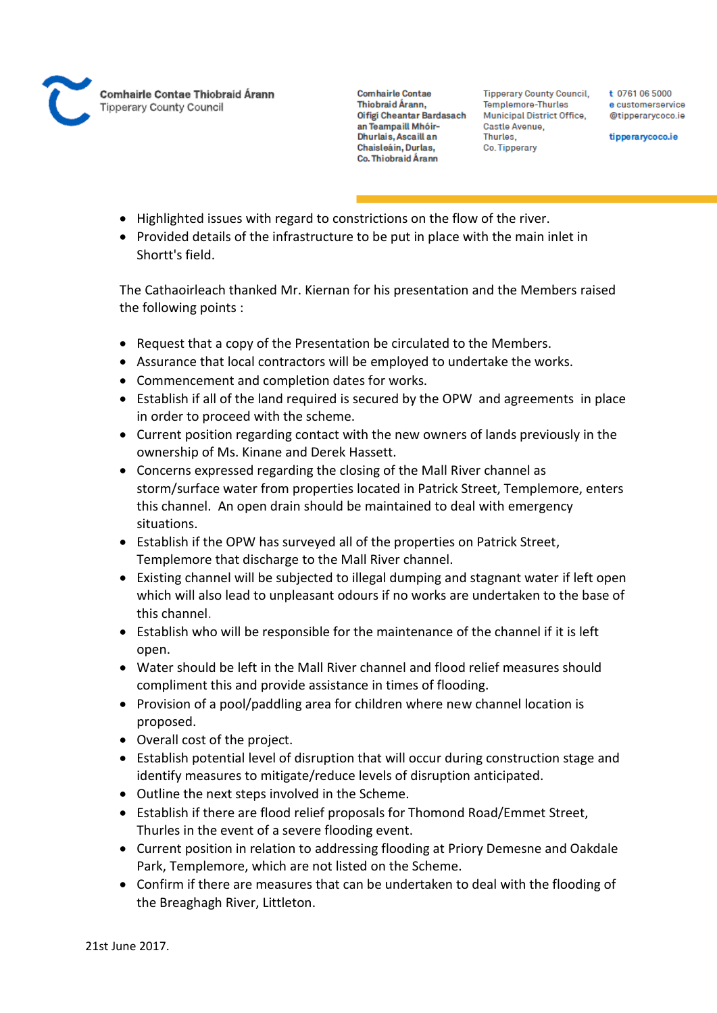

**Tipperary County Council,** Templemore-Thurles Municipal District Office, Castle Avenue, Thurles. Co. Tipperary

t 0761 06 5000 e customerservice @tipperarycoco.ie

tipperarycoco.ie

- Highlighted issues with regard to constrictions on the flow of the river.
- Provided details of the infrastructure to be put in place with the main inlet in Shortt's field.

The Cathaoirleach thanked Mr. Kiernan for his presentation and the Members raised the following points :

- Request that a copy of the Presentation be circulated to the Members.
- Assurance that local contractors will be employed to undertake the works.
- Commencement and completion dates for works.
- Establish if all of the land required is secured by the OPW and agreements in place in order to proceed with the scheme.
- Current position regarding contact with the new owners of lands previously in the ownership of Ms. Kinane and Derek Hassett.
- Concerns expressed regarding the closing of the Mall River channel as storm/surface water from properties located in Patrick Street, Templemore, enters this channel. An open drain should be maintained to deal with emergency situations.
- Establish if the OPW has surveyed all of the properties on Patrick Street, Templemore that discharge to the Mall River channel.
- Existing channel will be subjected to illegal dumping and stagnant water if left open which will also lead to unpleasant odours if no works are undertaken to the base of this channel.
- Establish who will be responsible for the maintenance of the channel if it is left open.
- Water should be left in the Mall River channel and flood relief measures should compliment this and provide assistance in times of flooding.
- Provision of a pool/paddling area for children where new channel location is proposed.
- Overall cost of the project.
- Establish potential level of disruption that will occur during construction stage and identify measures to mitigate/reduce levels of disruption anticipated.
- Outline the next steps involved in the Scheme.
- Establish if there are flood relief proposals for Thomond Road/Emmet Street, Thurles in the event of a severe flooding event.
- Current position in relation to addressing flooding at Priory Demesne and Oakdale Park, Templemore, which are not listed on the Scheme.
- Confirm if there are measures that can be undertaken to deal with the flooding of the Breaghagh River, Littleton.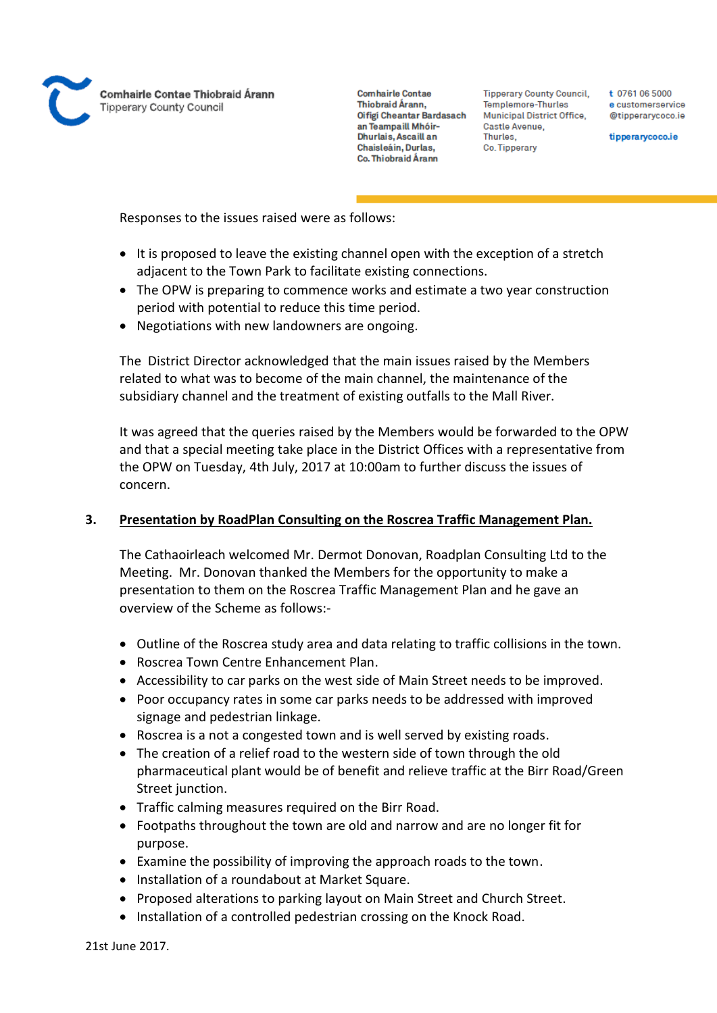

**Tipperary County Council,** Templemore-Thurles Municipal District Office, Castle Avenue, Thurles. Co. Tipperary

t 0761 06 5000 e customerservice @tipperarycoco.ie

tipperarycoco.ie

Responses to the issues raised were as follows:

- It is proposed to leave the existing channel open with the exception of a stretch adjacent to the Town Park to facilitate existing connections.
- The OPW is preparing to commence works and estimate a two year construction period with potential to reduce this time period.
- Negotiations with new landowners are ongoing.

The District Director acknowledged that the main issues raised by the Members related to what was to become of the main channel, the maintenance of the subsidiary channel and the treatment of existing outfalls to the Mall River.

It was agreed that the queries raised by the Members would be forwarded to the OPW and that a special meeting take place in the District Offices with a representative from the OPW on Tuesday, 4th July, 2017 at 10:00am to further discuss the issues of concern.

### **3. Presentation by RoadPlan Consulting on the Roscrea Traffic Management Plan.**

The Cathaoirleach welcomed Mr. Dermot Donovan, Roadplan Consulting Ltd to the Meeting. Mr. Donovan thanked the Members for the opportunity to make a presentation to them on the Roscrea Traffic Management Plan and he gave an overview of the Scheme as follows:-

- Outline of the Roscrea study area and data relating to traffic collisions in the town.
- Roscrea Town Centre Enhancement Plan.
- Accessibility to car parks on the west side of Main Street needs to be improved.
- Poor occupancy rates in some car parks needs to be addressed with improved signage and pedestrian linkage.
- Roscrea is a not a congested town and is well served by existing roads.
- The creation of a relief road to the western side of town through the old pharmaceutical plant would be of benefit and relieve traffic at the Birr Road/Green Street junction.
- Traffic calming measures required on the Birr Road.
- Footpaths throughout the town are old and narrow and are no longer fit for purpose.
- Examine the possibility of improving the approach roads to the town.
- Installation of a roundabout at Market Square.
- Proposed alterations to parking layout on Main Street and Church Street.
- Installation of a controlled pedestrian crossing on the Knock Road.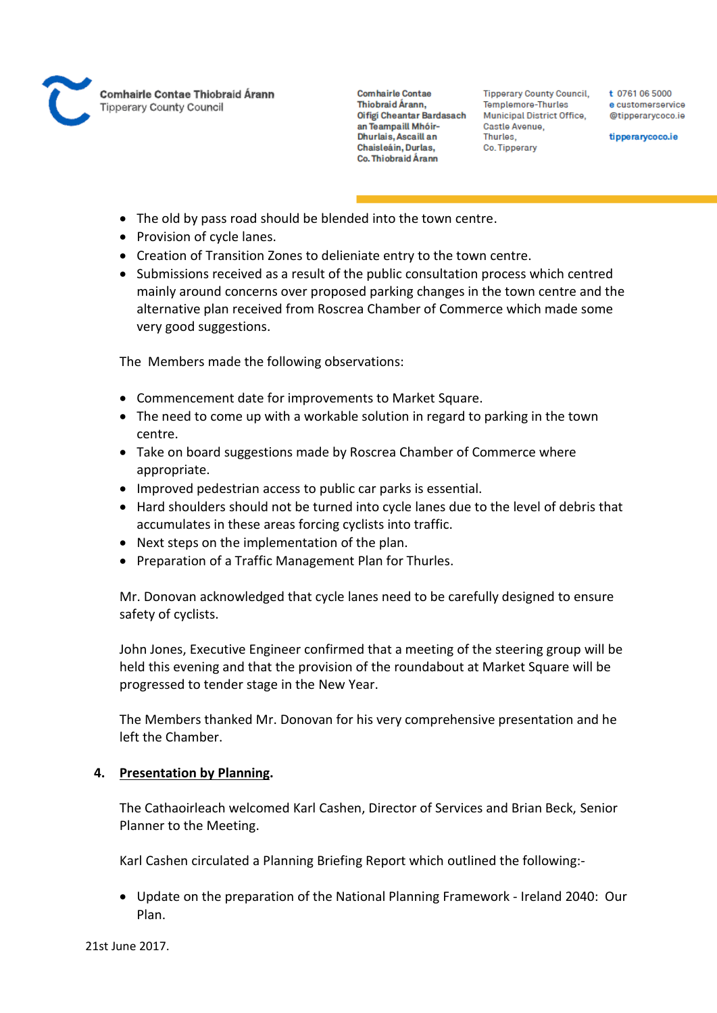

**Tipperary County Council,** Templemore-Thurles Municipal District Office, Castle Avenue, Thurles. Co. Tipperary

t 0761 06 5000 e customerservice @tipperarycoco.ie

tipperarycoco.ie

- The old by pass road should be blended into the town centre.
- Provision of cycle lanes.
- Creation of Transition Zones to delieniate entry to the town centre.
- Submissions received as a result of the public consultation process which centred mainly around concerns over proposed parking changes in the town centre and the alternative plan received from Roscrea Chamber of Commerce which made some very good suggestions.

The Members made the following observations:

- Commencement date for improvements to Market Square.
- The need to come up with a workable solution in regard to parking in the town centre.
- Take on board suggestions made by Roscrea Chamber of Commerce where appropriate.
- Improved pedestrian access to public car parks is essential.
- Hard shoulders should not be turned into cycle lanes due to the level of debris that accumulates in these areas forcing cyclists into traffic.
- Next steps on the implementation of the plan.
- Preparation of a Traffic Management Plan for Thurles.

Mr. Donovan acknowledged that cycle lanes need to be carefully designed to ensure safety of cyclists.

John Jones, Executive Engineer confirmed that a meeting of the steering group will be held this evening and that the provision of the roundabout at Market Square will be progressed to tender stage in the New Year.

The Members thanked Mr. Donovan for his very comprehensive presentation and he left the Chamber.

### **4. Presentation by Planning.**

The Cathaoirleach welcomed Karl Cashen, Director of Services and Brian Beck, Senior Planner to the Meeting.

Karl Cashen circulated a Planning Briefing Report which outlined the following:-

 Update on the preparation of the National Planning Framework - Ireland 2040: Our Plan.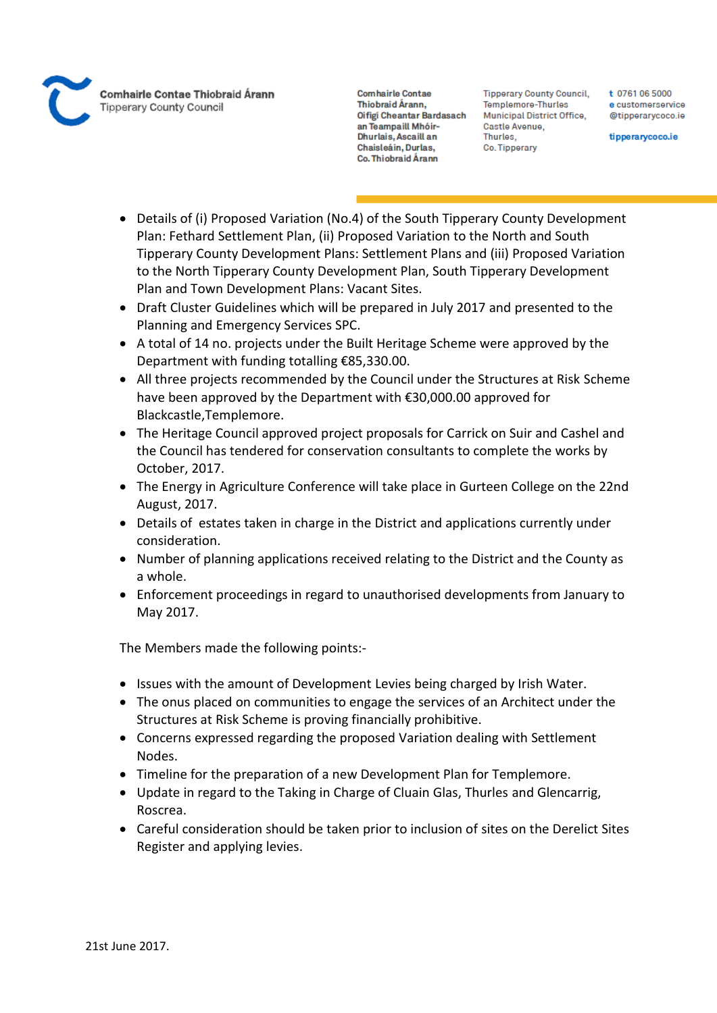

**Tipperary County Council,** Templemore-Thurles Municipal District Office, Castle Avenue, Thurles. Co. Tipperary

t 0761 06 5000 e customerservice @tipperarycoco.ie

tipperarycoco.ie

- Details of (i) Proposed Variation (No.4) of the South Tipperary County Development Plan: Fethard Settlement Plan, (ii) Proposed Variation to the North and South Tipperary County Development Plans: Settlement Plans and (iii) Proposed Variation to the North Tipperary County Development Plan, South Tipperary Development Plan and Town Development Plans: Vacant Sites.
- Draft Cluster Guidelines which will be prepared in July 2017 and presented to the Planning and Emergency Services SPC.
- A total of 14 no. projects under the Built Heritage Scheme were approved by the Department with funding totalling €85,330.00.
- All three projects recommended by the Council under the Structures at Risk Scheme have been approved by the Department with €30,000.00 approved for Blackcastle,Templemore.
- The Heritage Council approved project proposals for Carrick on Suir and Cashel and the Council has tendered for conservation consultants to complete the works by October, 2017.
- The Energy in Agriculture Conference will take place in Gurteen College on the 22nd August, 2017.
- Details of estates taken in charge in the District and applications currently under consideration.
- Number of planning applications received relating to the District and the County as a whole.
- Enforcement proceedings in regard to unauthorised developments from January to May 2017.

The Members made the following points:-

- Issues with the amount of Development Levies being charged by Irish Water.
- The onus placed on communities to engage the services of an Architect under the Structures at Risk Scheme is proving financially prohibitive.
- Concerns expressed regarding the proposed Variation dealing with Settlement Nodes.
- Timeline for the preparation of a new Development Plan for Templemore.
- Update in regard to the Taking in Charge of Cluain Glas, Thurles and Glencarrig, Roscrea.
- Careful consideration should be taken prior to inclusion of sites on the Derelict Sites Register and applying levies.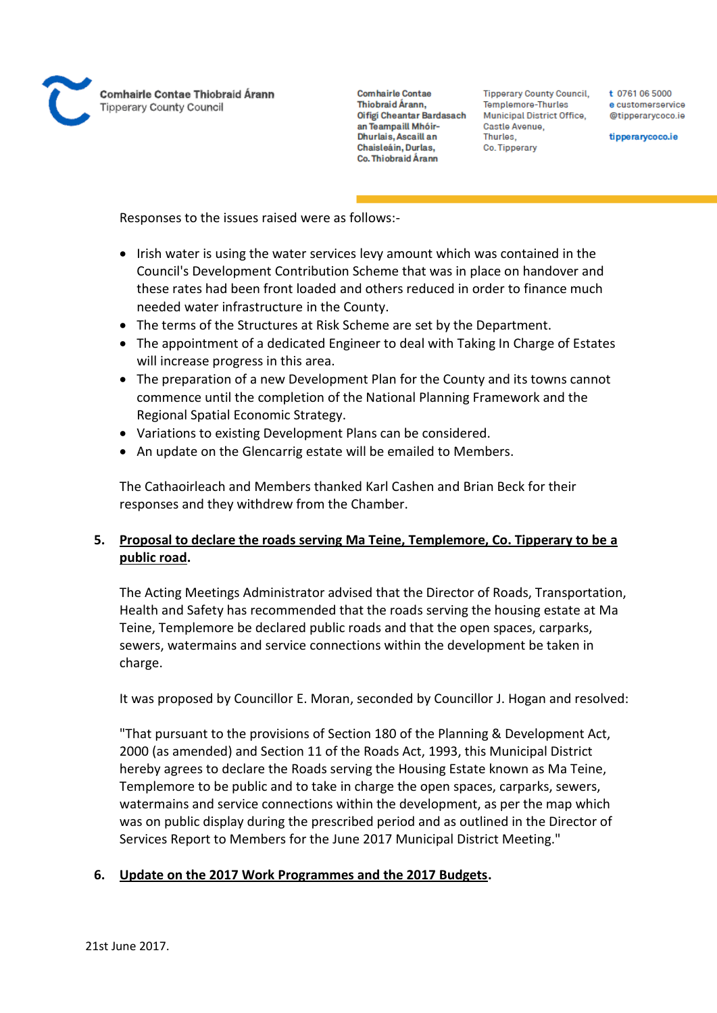

**Tipperary County Council,** Templemore-Thurles Municipal District Office, Castle Avenue, Thurles. Co. Tipperary

t 0761 06 5000 e customerservice @tipperarvcoco.ie

tipperarycoco.ie

Responses to the issues raised were as follows:-

- Irish water is using the water services levy amount which was contained in the Council's Development Contribution Scheme that was in place on handover and these rates had been front loaded and others reduced in order to finance much needed water infrastructure in the County.
- The terms of the Structures at Risk Scheme are set by the Department.
- The appointment of a dedicated Engineer to deal with Taking In Charge of Estates will increase progress in this area.
- The preparation of a new Development Plan for the County and its towns cannot commence until the completion of the National Planning Framework and the Regional Spatial Economic Strategy.
- Variations to existing Development Plans can be considered.
- An update on the Glencarrig estate will be emailed to Members.

The Cathaoirleach and Members thanked Karl Cashen and Brian Beck for their responses and they withdrew from the Chamber.

# **5. Proposal to declare the roads serving Ma Teine, Templemore, Co. Tipperary to be a public road.**

The Acting Meetings Administrator advised that the Director of Roads, Transportation, Health and Safety has recommended that the roads serving the housing estate at Ma Teine, Templemore be declared public roads and that the open spaces, carparks, sewers, watermains and service connections within the development be taken in charge.

It was proposed by Councillor E. Moran, seconded by Councillor J. Hogan and resolved:

"That pursuant to the provisions of Section 180 of the Planning & Development Act, 2000 (as amended) and Section 11 of the Roads Act, 1993, this Municipal District hereby agrees to declare the Roads serving the Housing Estate known as Ma Teine, Templemore to be public and to take in charge the open spaces, carparks, sewers, watermains and service connections within the development, as per the map which was on public display during the prescribed period and as outlined in the Director of Services Report to Members for the June 2017 Municipal District Meeting."

# **6. Update on the 2017 Work Programmes and the 2017 Budgets.**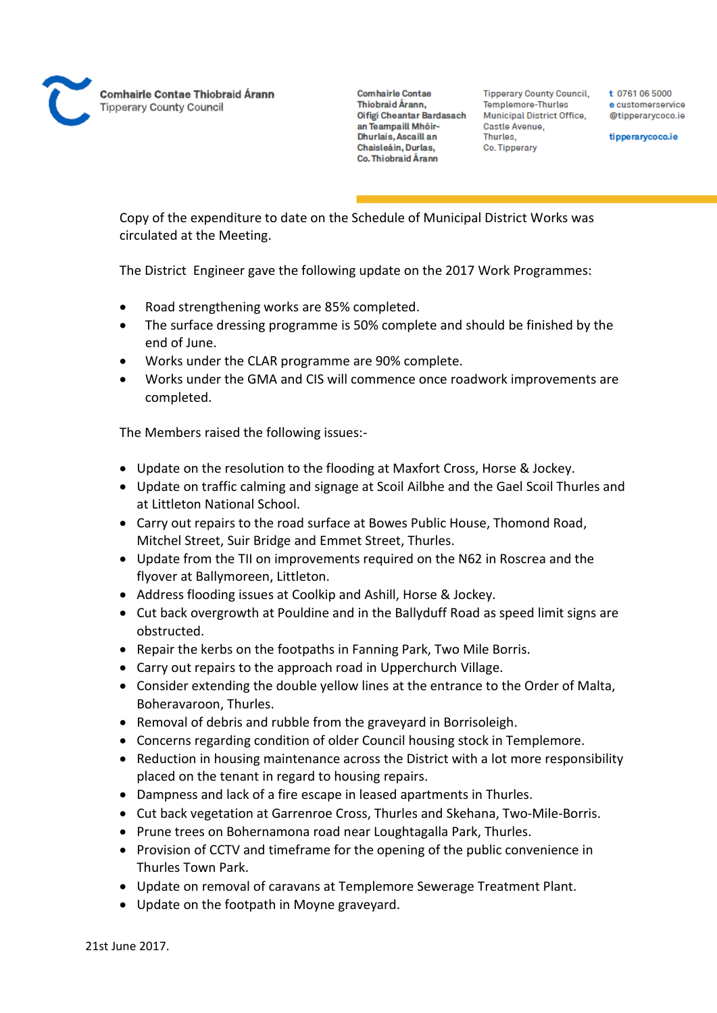

**Tipperary County Council,** Templemore-Thurles Municipal District Office, Castle Avenue, Thurles. Co. Tipperary

t 0761 06 5000 e customerservice @tipperarycoco.ie

tipperarycoco.ie

Copy of the expenditure to date on the Schedule of Municipal District Works was circulated at the Meeting.

The District Engineer gave the following update on the 2017 Work Programmes:

- Road strengthening works are 85% completed.
- The surface dressing programme is 50% complete and should be finished by the end of June.
- Works under the CLAR programme are 90% complete.
- Works under the GMA and CIS will commence once roadwork improvements are completed.

The Members raised the following issues:-

- Update on the resolution to the flooding at Maxfort Cross, Horse & Jockey.
- Update on traffic calming and signage at Scoil Ailbhe and the Gael Scoil Thurles and at Littleton National School.
- Carry out repairs to the road surface at Bowes Public House, Thomond Road, Mitchel Street, Suir Bridge and Emmet Street, Thurles.
- Update from the TII on improvements required on the N62 in Roscrea and the flyover at Ballymoreen, Littleton.
- Address flooding issues at Coolkip and Ashill, Horse & Jockey.
- Cut back overgrowth at Pouldine and in the Ballyduff Road as speed limit signs are obstructed.
- Repair the kerbs on the footpaths in Fanning Park, Two Mile Borris.
- Carry out repairs to the approach road in Upperchurch Village.
- Consider extending the double yellow lines at the entrance to the Order of Malta, Boheravaroon, Thurles.
- Removal of debris and rubble from the graveyard in Borrisoleigh.
- Concerns regarding condition of older Council housing stock in Templemore.
- Reduction in housing maintenance across the District with a lot more responsibility placed on the tenant in regard to housing repairs.
- Dampness and lack of a fire escape in leased apartments in Thurles.
- Cut back vegetation at Garrenroe Cross, Thurles and Skehana, Two-Mile-Borris.
- Prune trees on Bohernamona road near Loughtagalla Park, Thurles.
- Provision of CCTV and timeframe for the opening of the public convenience in Thurles Town Park.
- Update on removal of caravans at Templemore Sewerage Treatment Plant.
- Update on the footpath in Moyne graveyard.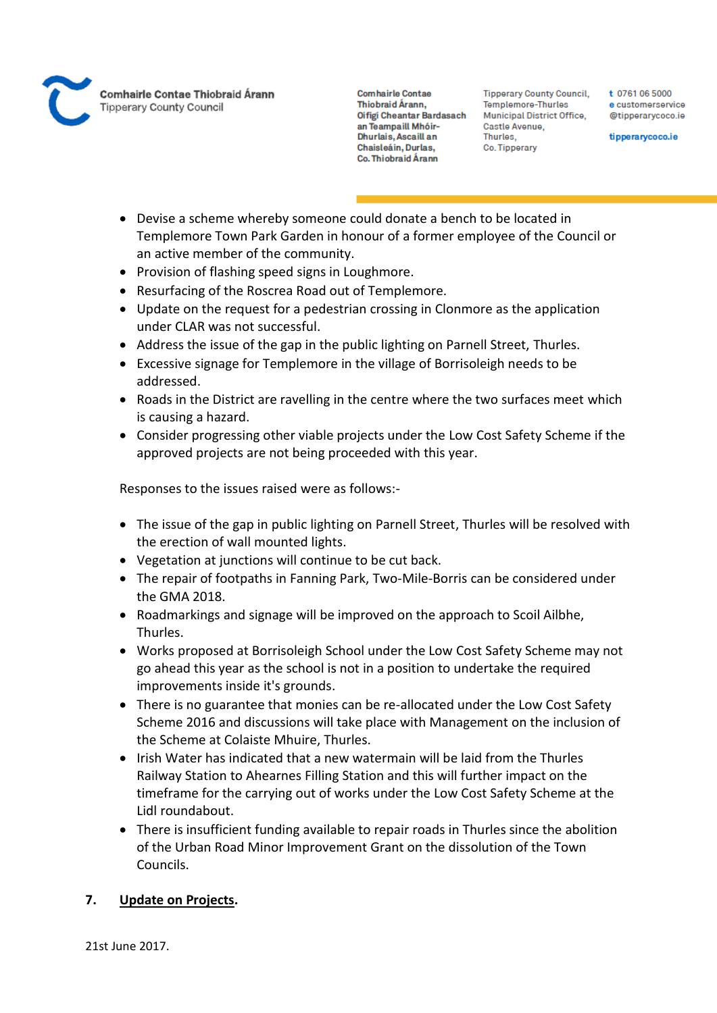

**Tipperary County Council,** Templemore-Thurles Municipal District Office, Castle Avenue, Thurles. Co. Tipperary

t 0761 06 5000 e customerservice @tipperarycoco.ie

tipperarycoco.ie

- Devise a scheme whereby someone could donate a bench to be located in Templemore Town Park Garden in honour of a former employee of the Council or an active member of the community.
- Provision of flashing speed signs in Loughmore.
- Resurfacing of the Roscrea Road out of Templemore.
- Update on the request for a pedestrian crossing in Clonmore as the application under CLAR was not successful.
- Address the issue of the gap in the public lighting on Parnell Street, Thurles.
- Excessive signage for Templemore in the village of Borrisoleigh needs to be addressed.
- Roads in the District are ravelling in the centre where the two surfaces meet which is causing a hazard.
- Consider progressing other viable projects under the Low Cost Safety Scheme if the approved projects are not being proceeded with this year.

Responses to the issues raised were as follows:-

- The issue of the gap in public lighting on Parnell Street, Thurles will be resolved with the erection of wall mounted lights.
- Vegetation at junctions will continue to be cut back.
- The repair of footpaths in Fanning Park, Two-Mile-Borris can be considered under the GMA 2018.
- Roadmarkings and signage will be improved on the approach to Scoil Ailbhe, Thurles.
- Works proposed at Borrisoleigh School under the Low Cost Safety Scheme may not go ahead this year as the school is not in a position to undertake the required improvements inside it's grounds.
- There is no guarantee that monies can be re-allocated under the Low Cost Safety Scheme 2016 and discussions will take place with Management on the inclusion of the Scheme at Colaiste Mhuire, Thurles.
- Irish Water has indicated that a new watermain will be laid from the Thurles Railway Station to Ahearnes Filling Station and this will further impact on the timeframe for the carrying out of works under the Low Cost Safety Scheme at the Lidl roundabout.
- There is insufficient funding available to repair roads in Thurles since the abolition of the Urban Road Minor Improvement Grant on the dissolution of the Town Councils.

### **7. Update on Projects.**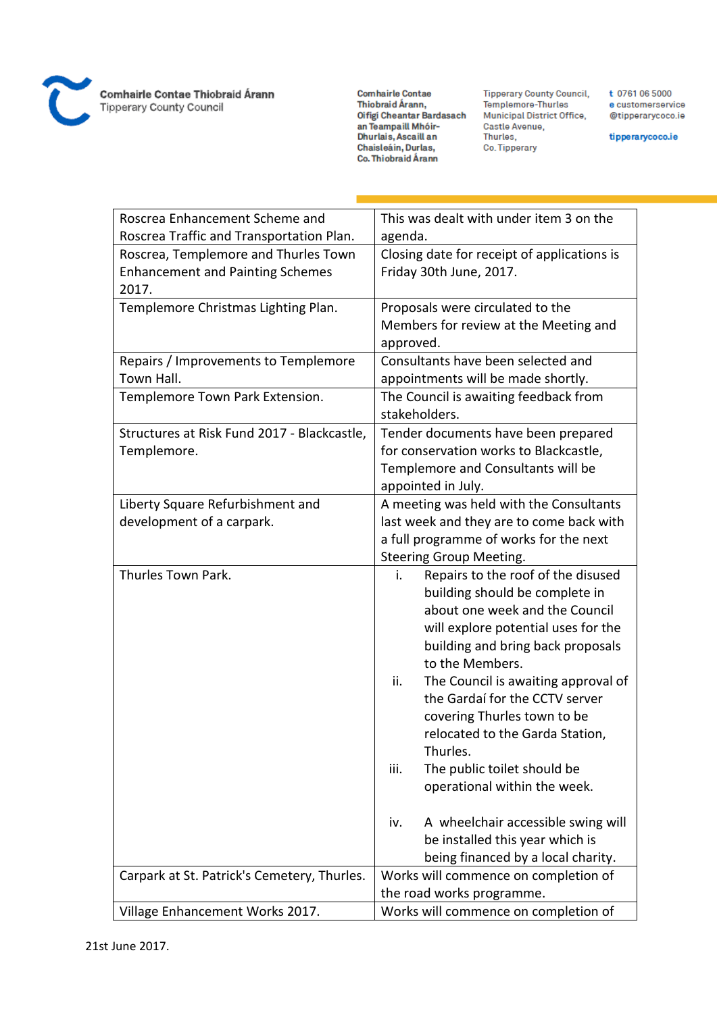

Comhairle Contae Thiobraid Árann<br>Tipperary County Council

Comhairle Contae Comnairte Contae<br>Thiobraid Árann,<br>Oifigí Cheantar Bardasach<br>an Teampaill Mhóir-<br>Dhurlais, Ascaill an<br>Chaisleáin, Durlas, Co. Thiobraid Árann

**Tipperary County Council,** Templemore-Thurles Municipal District Office, Municipal Distri<br>Castle Avenue,<br>Thurles, Co. Tipperary

t 0761 06 5000 e customerservice @tipperarycoco.ie

tipperarycoco.ie

| Roscrea Enhancement Scheme and              | This was dealt with under item 3 on the     |
|---------------------------------------------|---------------------------------------------|
| Roscrea Traffic and Transportation Plan.    | agenda.                                     |
| Roscrea, Templemore and Thurles Town        | Closing date for receipt of applications is |
| <b>Enhancement and Painting Schemes</b>     | Friday 30th June, 2017.                     |
| 2017.                                       |                                             |
| Templemore Christmas Lighting Plan.         | Proposals were circulated to the            |
|                                             | Members for review at the Meeting and       |
|                                             | approved.                                   |
| Repairs / Improvements to Templemore        | Consultants have been selected and          |
| Town Hall.                                  | appointments will be made shortly.          |
| Templemore Town Park Extension.             | The Council is awaiting feedback from       |
|                                             | stakeholders.                               |
| Structures at Risk Fund 2017 - Blackcastle, | Tender documents have been prepared         |
| Templemore.                                 | for conservation works to Blackcastle,      |
|                                             | Templemore and Consultants will be          |
|                                             | appointed in July.                          |
| Liberty Square Refurbishment and            | A meeting was held with the Consultants     |
| development of a carpark.                   | last week and they are to come back with    |
|                                             | a full programme of works for the next      |
|                                             | <b>Steering Group Meeting.</b>              |
| Thurles Town Park.                          | Repairs to the roof of the disused<br>i.    |
|                                             | building should be complete in              |
|                                             | about one week and the Council              |
|                                             | will explore potential uses for the         |
|                                             | building and bring back proposals           |
|                                             | to the Members.                             |
|                                             | ii.<br>The Council is awaiting approval of  |
|                                             | the Gardaí for the CCTV server              |
|                                             | covering Thurles town to be                 |
|                                             | relocated to the Garda Station,             |
|                                             | Thurles.                                    |
|                                             | The public toilet should be<br>iii.         |
|                                             | operational within the week.                |
|                                             |                                             |
|                                             | A wheelchair accessible swing will<br>iv.   |
|                                             | be installed this year which is             |
|                                             | being financed by a local charity.          |
| Carpark at St. Patrick's Cemetery, Thurles. | Works will commence on completion of        |
|                                             | the road works programme.                   |
| Village Enhancement Works 2017.             | Works will commence on completion of        |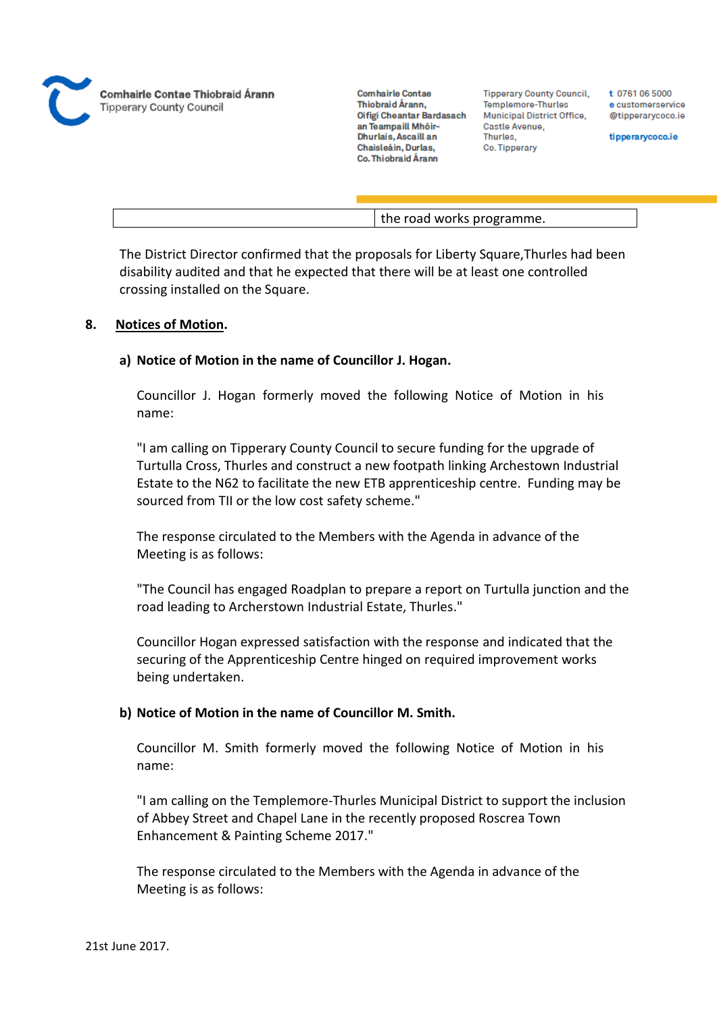

**Tipperary County Council,** Templemore-Thurles Municipal District Office, Castle Avenue, Thurles. Co. Tipperary

t 0761 06 5000 e customerservice @tipperarycoco.ie

tipperarycoco.ie

the road works programme.

The District Director confirmed that the proposals for Liberty Square,Thurles had been disability audited and that he expected that there will be at least one controlled crossing installed on the Square.

#### **8. Notices of Motion.**

#### **a) Notice of Motion in the name of Councillor J. Hogan.**

Councillor J. Hogan formerly moved the following Notice of Motion in his name:

"I am calling on Tipperary County Council to secure funding for the upgrade of Turtulla Cross, Thurles and construct a new footpath linking Archestown Industrial Estate to the N62 to facilitate the new ETB apprenticeship centre. Funding may be sourced from TII or the low cost safety scheme."

The response circulated to the Members with the Agenda in advance of the Meeting is as follows:

"The Council has engaged Roadplan to prepare a report on Turtulla junction and the road leading to Archerstown Industrial Estate, Thurles."

Councillor Hogan expressed satisfaction with the response and indicated that the securing of the Apprenticeship Centre hinged on required improvement works being undertaken.

### **b) Notice of Motion in the name of Councillor M. Smith.**

Councillor M. Smith formerly moved the following Notice of Motion in his name:

"I am calling on the Templemore-Thurles Municipal District to support the inclusion of Abbey Street and Chapel Lane in the recently proposed Roscrea Town Enhancement & Painting Scheme 2017."

The response circulated to the Members with the Agenda in advance of the Meeting is as follows: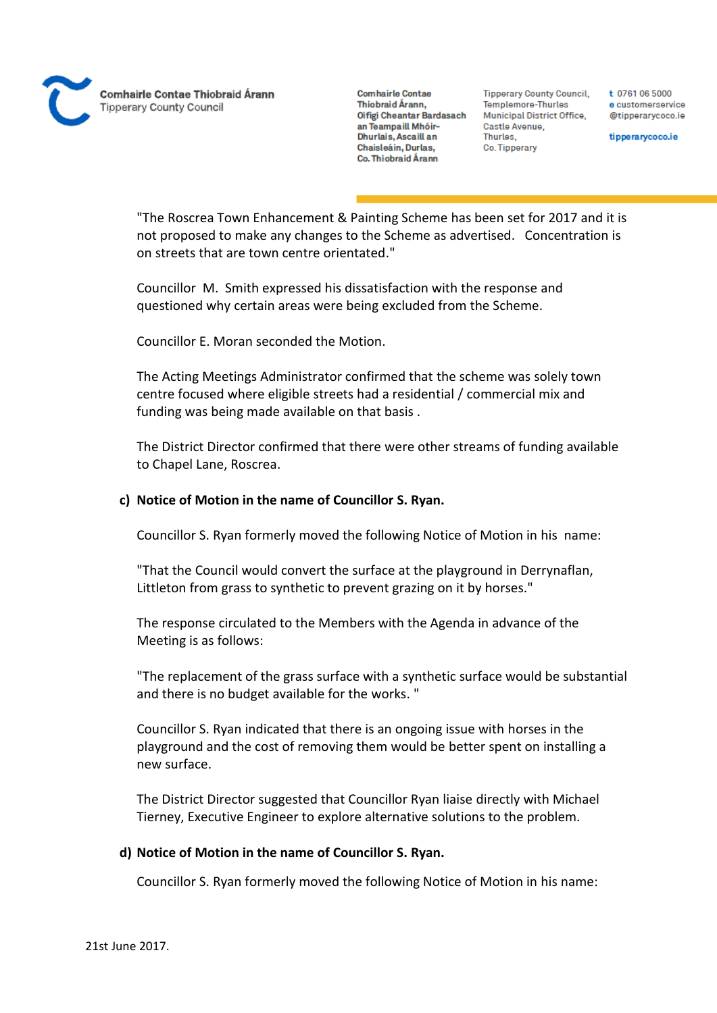Comhairle Contae Thiobraid Árann **Tipperary County Council** 

**Comhairle Contae** Thiobraid Árann. Oifigi Cheantar Bardasach an Teampaill Mhóir-Dhurlais, Ascaill an Chaisleáin, Durlas, Co. Thiobraid Árann

**Tipperary County Council,** Templemore-Thurles Municipal District Office, Castle Avenue, Thurles. Co. Tipperary

t 0761 06 5000 e customerservice @tipperarycoco.ie

tipperarycoco.ie

"The Roscrea Town Enhancement & Painting Scheme has been set for 2017 and it is not proposed to make any changes to the Scheme as advertised. Concentration is on streets that are town centre orientated."

Councillor M. Smith expressed his dissatisfaction with the response and questioned why certain areas were being excluded from the Scheme.

Councillor E. Moran seconded the Motion.

The Acting Meetings Administrator confirmed that the scheme was solely town centre focused where eligible streets had a residential / commercial mix and funding was being made available on that basis .

The District Director confirmed that there were other streams of funding available to Chapel Lane, Roscrea.

#### **c) Notice of Motion in the name of Councillor S. Ryan.**

Councillor S. Ryan formerly moved the following Notice of Motion in his name:

"That the Council would convert the surface at the playground in Derrynaflan, Littleton from grass to synthetic to prevent grazing on it by horses."

The response circulated to the Members with the Agenda in advance of the Meeting is as follows:

"The replacement of the grass surface with a synthetic surface would be substantial and there is no budget available for the works. "

Councillor S. Ryan indicated that there is an ongoing issue with horses in the playground and the cost of removing them would be better spent on installing a new surface.

The District Director suggested that Councillor Ryan liaise directly with Michael Tierney, Executive Engineer to explore alternative solutions to the problem.

#### **d) Notice of Motion in the name of Councillor S. Ryan.**

Councillor S. Ryan formerly moved the following Notice of Motion in his name: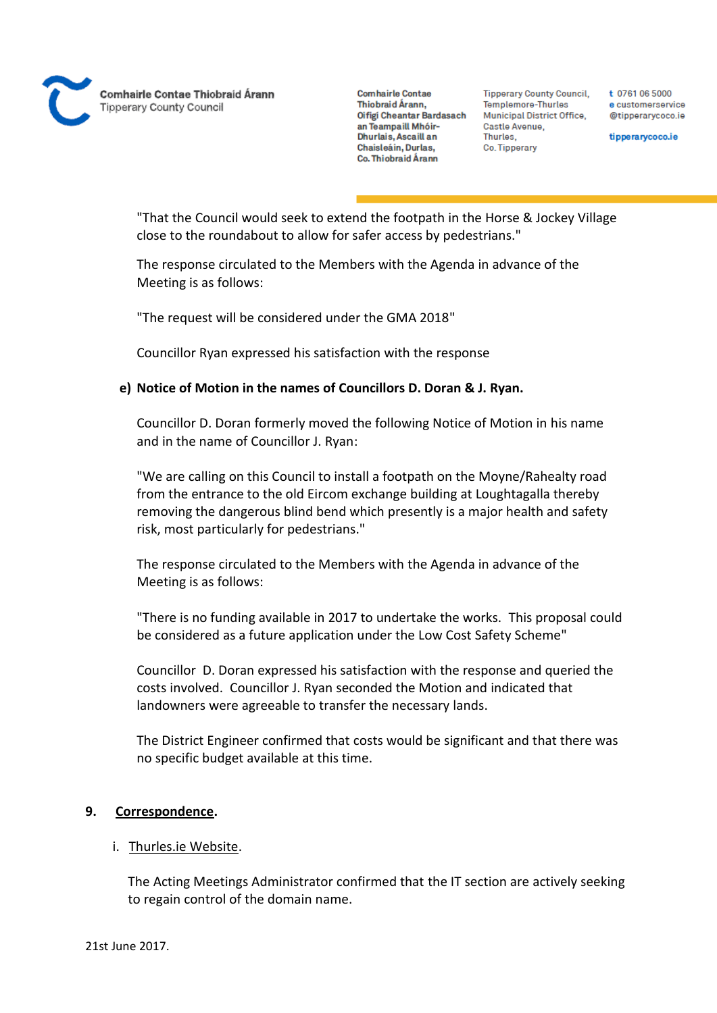

**Tipperary County Council,** Templemore-Thurles Municipal District Office, Castle Avenue, Thurles. Co. Tipperary

t 0761 06 5000 e customerservice @tipperarycoco.ie

tipperarycoco.ie

"That the Council would seek to extend the footpath in the Horse & Jockey Village close to the roundabout to allow for safer access by pedestrians."

The response circulated to the Members with the Agenda in advance of the Meeting is as follows:

"The request will be considered under the GMA 2018"

Councillor Ryan expressed his satisfaction with the response

#### **e) Notice of Motion in the names of Councillors D. Doran & J. Ryan.**

Councillor D. Doran formerly moved the following Notice of Motion in his name and in the name of Councillor J. Ryan:

"We are calling on this Council to install a footpath on the Moyne/Rahealty road from the entrance to the old Eircom exchange building at Loughtagalla thereby removing the dangerous blind bend which presently is a major health and safety risk, most particularly for pedestrians."

The response circulated to the Members with the Agenda in advance of the Meeting is as follows:

"There is no funding available in 2017 to undertake the works. This proposal could be considered as a future application under the Low Cost Safety Scheme"

Councillor D. Doran expressed his satisfaction with the response and queried the costs involved. Councillor J. Ryan seconded the Motion and indicated that landowners were agreeable to transfer the necessary lands.

The District Engineer confirmed that costs would be significant and that there was no specific budget available at this time.

#### **9. Correspondence.**

#### i. Thurles.ie Website.

The Acting Meetings Administrator confirmed that the IT section are actively seeking to regain control of the domain name.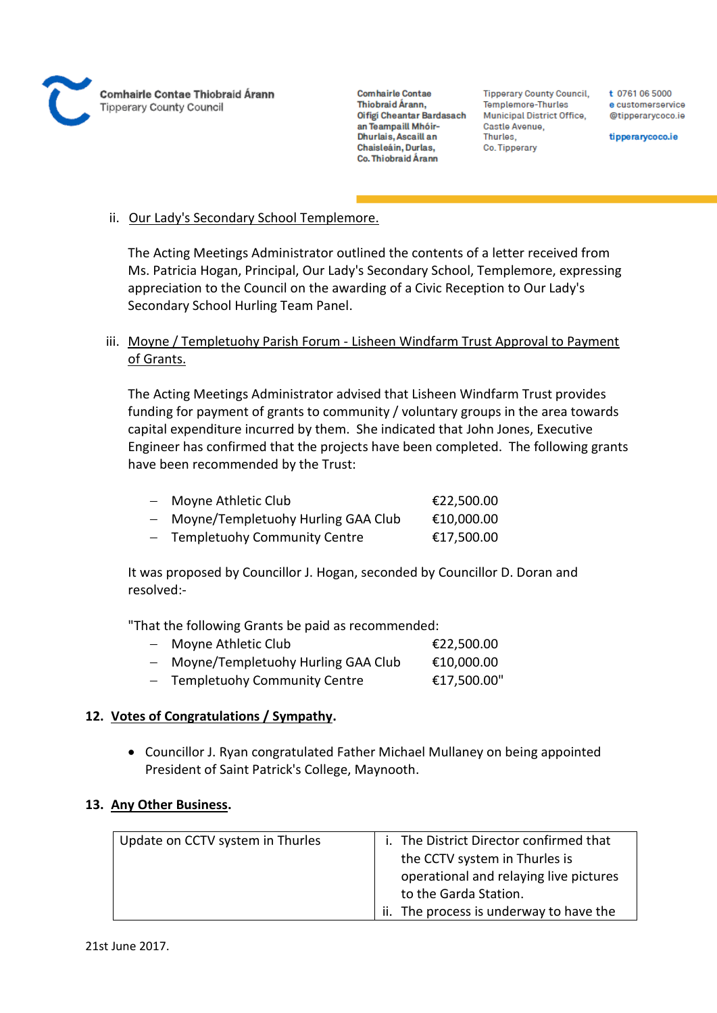

**Tipperary County Council,** Templemore-Thurles Municipal District Office, Castle Avenue, Thurles. Co. Tipperary

t 0761 06 5000 e customerservice @tipperarycoco.ie

tipperarycoco.ie

## ii. Our Lady's Secondary School Templemore.

The Acting Meetings Administrator outlined the contents of a letter received from Ms. Patricia Hogan, Principal, Our Lady's Secondary School, Templemore, expressing appreciation to the Council on the awarding of a Civic Reception to Our Lady's Secondary School Hurling Team Panel.

# iii. Moyne / Templetuohy Parish Forum - Lisheen Windfarm Trust Approval to Payment of Grants.

The Acting Meetings Administrator advised that Lisheen Windfarm Trust provides funding for payment of grants to community / voluntary groups in the area towards capital expenditure incurred by them. She indicated that John Jones, Executive Engineer has confirmed that the projects have been completed. The following grants have been recommended by the Trust:

| $\equiv$ | Moyne Athletic Club                | €22,500.00 |
|----------|------------------------------------|------------|
| $\equiv$ | Moyne/Templetuohy Hurling GAA Club | €10,000.00 |
|          | - Templetuohy Community Centre     | €17,500.00 |

It was proposed by Councillor J. Hogan, seconded by Councillor D. Doran and resolved:-

"That the following Grants be paid as recommended:

| $\equiv$ | Moyne Athletic Club                | €22,500.00  |
|----------|------------------------------------|-------------|
| $\equiv$ | Moyne/Templetuohy Hurling GAA Club | €10,000.00  |
|          | - Templetuohy Community Centre     | €17,500.00" |

# **12. Votes of Congratulations / Sympathy.**

 Councillor J. Ryan congratulated Father Michael Mullaney on being appointed President of Saint Patrick's College, Maynooth.

# **13. Any Other Business.**

| Update on CCTV system in Thurles | i. The District Director confirmed that |
|----------------------------------|-----------------------------------------|
|                                  | the CCTV system in Thurles is           |
|                                  | operational and relaying live pictures  |
|                                  | to the Garda Station.                   |
|                                  | ii. The process is underway to have the |